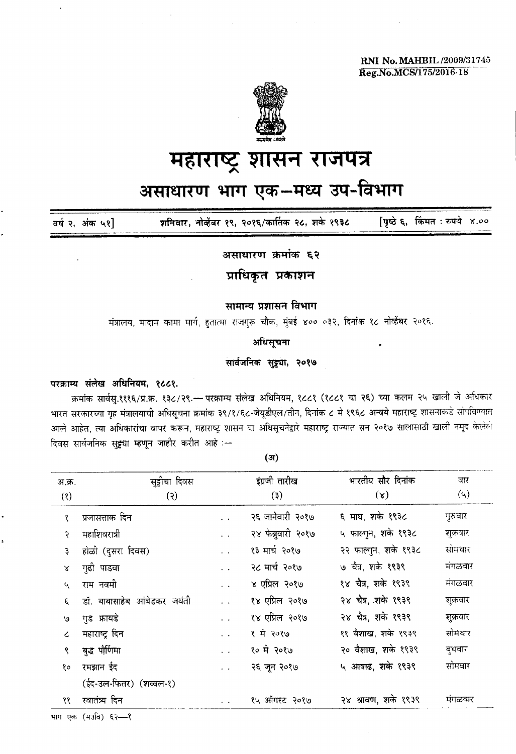RNI No. MAHBIL *12009/31745* Reg.No.MCS/175/2016-18



## महाराष्ट्र शासन राजपत्र

# असाधारण भाग एक-मध्य उप-विभाग

 ${q\ddot{\bf o}}$   ${\bf \dot{\bf s}}$ , किंमत : रुपये ४.०० शनिवार, नोव्हेंबर १९, २०१६/कार्तिक २८, शके १९३८ वर्ष २, अंक ५१]

असाधारण क्रमांक ६२

**प्राधिकृत प्रकाशन** 

#### सामान्य प्रशासन विभाग

मंत्रालय, मादाम कामा मार्ग, हतात्मा राजगुरू चौक, मुंबई ४०० ०३२, दिनांक १८ नोव्हेंबर २०१६.

अधिसूचना

#### सार्वजनिक सुट्ट्या, २०१७

### परक्राम्य संलेख अधिनियम, १८८१.

क्रमांक सार्वस्.१११६/प्र.क्र. १३८/२९.<del>~ परक्राम्य संलेख</del> अधिनियम, १८८१ (१८८१ चा २६) च्या कलम २५ खाली जे अधिकार भारत सरकारच्या गृह मंत्रालयाची अधिसूचना क्रमांक ३९/१/६८-जेयूडीएल/तीन, दिनांक ८ मे १९६८ अन्वये महाराष्ट्र शासनाकडे सोपविण्यात आले आहेत, त्या अधि<mark>कारांचा वापर करून, महाराष्ट्र शासन</mark> या अधिसूचनेद्वारे महाराष्ट्र राज्यात सन २०१७ सालासाठी खाली नमूद केलेले दिवस सार्वजनिक सु<del>ट्ट</del>्या म्हणून जाहीर करीत आहे :-

| अ.क्र. | सुट्टीचा दिवस               |                         | इंग्रजी तारीख      | भारतीय सौर दिनांक    | वार       |
|--------|-----------------------------|-------------------------|--------------------|----------------------|-----------|
| (8)    | $(\mathcal{S})$             |                         | (5)                | $(\mathbf{x})$       | $(\zeta)$ |
| १      | प्रजासत्ताक दिन             | $\ddot{\phantom{0}}$    | २६ जानेवारी २०१७   | ६ माघ, शके १९३८      | गुरुवार   |
| २      | महाशिवरात्री                | $\ddot{\phantom{0}}$    | २४ फेब्रुवारी २०१७ | ५ फाल्गून, शके १९३८  | शक्रवार   |
| ₹      | होळी (दुसरा दिवस)           | $\ddot{\phantom{a}}$    | १३ मार्च २०१७      | २२ फाल्गुन, शके १९३८ | सोमवार    |
| Χ      | गुढी पाडवा                  | $\ddot{\phantom{0}}$    | २८ मार्च २०१७      | ७ चैत्र, शके १९३९    | मंगळवार   |
| Ч      | राम नवमी                    | $\ddot{\phantom{a}}$    | ४ एप्रिल २०१७      | १४ चैत्र, शके १९३९   | मंगळवार   |
| ε      | डॉ. बाबासाहेब आंबेडकर जयंती |                         | १४ एप्रिल २०१७     | २४ चैत्र, शके १९३९   | शुक्रवार  |
| ৩      | गुड फ्रायडे                 | $\ddot{\phantom{a}}$    | १४ एप्रिल २०१७     | २४ चैत्र, शके १९३९   | शुक्रवार  |
|        | महाराष्ट्र दिन              | $\ddot{\phantom{a}}$    | १ में २०१७         | ११ वैशाख, शके १९३९   | सोमवार    |
| ۹      | बुद्ध पौर्णिमा              | $\mathbf{r}=\mathbf{r}$ | १० में २०१७        | २० वैशाख, शके १९३९   | बुधवार    |
| १०     | रमझान ईद                    | $\ddot{\phantom{a}}$    | २६ जून २०१७        | ५ आषाढ, शके १९३९     | सोमवार    |
|        | (ईद-उल-फितर) (शव्वल-१)      |                         |                    |                      |           |
| ११     | स्वातंत्र्य दिन             |                         | १५ ऑगस्ट २०१७      | २४ श्रावण, शके १९३९  | मगळवार    |

(ar)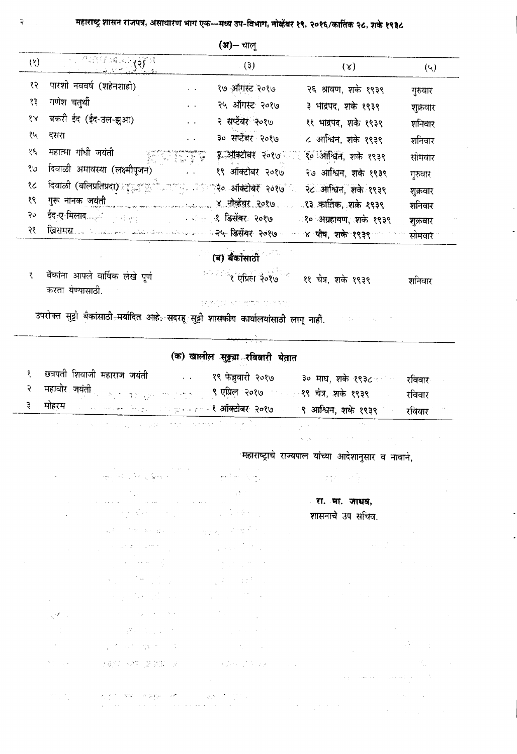|     |                                                                                                          |          | ( <b>अ</b> )– चाल्        |                                   |            |
|-----|----------------------------------------------------------------------------------------------------------|----------|---------------------------|-----------------------------------|------------|
| (8) | <b>PUBLIC IN AND REAL</b>                                                                                |          | $(\mathbf{\mathfrak{z}})$ | (x)                               | $(\gamma)$ |
| १२  | पारशी नववर्ष (शहेनशाही)                                                                                  |          | १७ ऑगस्ट २०१७             | २६ श्रावण, शके १९३९               | गुरुवार    |
| १३  | गणेश चतुर्थी                                                                                             |          | २५ ऑगस्ट २०१७             | ३ भाद्रपद, शके १९३९               | शुक्रवार   |
| १४  | बकरी ईद (ईद-उल-झुआ)                                                                                      |          | २ सप्टेंबर २०१७           | ११ भाद्रपद, शके १९३९              | शनिवार     |
| १५  | दसरा                                                                                                     |          | ३० सप्टेंबर २०१७          | ८ आश्विन, शके १९३९                | शनिवार     |
| १६  | महात्मा गांधी जयंती                                                                                      | rnega ka | इ अक्टोबर २०१७            | १० ऑश्विन, शके १९३९               | सोमवार     |
| १७  | दिवाळी अमावस्या (लक्ष्मीपूजन)                                                                            |          | १९ ऑक्टोबर २०१७           | २७ आश्विन, शके १९३९               | गुरुवार    |
| १८  | दिवाळी (बलिप्रतिप्रदा) मण्डुक कुलियालामा अवस्थित २०१७ अ                                                  |          |                           | २८ आश्विन, शके १९३९               | शुक्रवार   |
| १९  | गुरू नानक <u>जयंती</u><br>पुरु नानक जयंती                                                                |          |                           | ং३ कार्तिक, शके १९३९ <sub>-</sub> | शनिवार     |
| २०  | ईद <sub>्र</sub> ए-मिलाद <sub>्याल</sub> े <sub>हार विद्यालय करता है। अन्य प<b>र डिसेंबर: २०१७</b></sub> |          |                           | ং० अग्रहायण, शके १९३९             | शुक्रवार   |
| २१- | खिसमस्ता सा अन्यासामान्यान्तराज्यसम्पर्कतन्त्रसम्पर्कतन्त्रसम् विसेंबरः २०१७ अ                           |          |                           | <sup></sup> ४ पौष, शके १९३९       | सोमवार     |

(ब) बैंकांसाठी

| बँकांना आपले वार्षिक लेखे पूर्ण<br>करता यण्यासाठी. | <sup>अन्तर</sup> ीर एप्रिल २०१७ <sup>ं ल</sup> ११ चैत्र, शके १९३९ | शानवार |
|----------------------------------------------------|-------------------------------------------------------------------|--------|
|                                                    | 이 중단화 일달이 되지 않았지만 것 같아 정부 거니                                      |        |

उपरोक्त सुट्टी बँकांसाठी<sub>ं</sub>मर्यादित आहे. सदरहू सुट्टी <mark>शासकीय कार्यालयांसाठी लागू नाही.</mark>

## (क) खालील सुड्ड्या रविवारी येतात

| छत्रपती शिवाजी महाराज जयंती |  | १९ फेब्रुवारी २०१७                                                                          | ३० माघ, शके १९३८ का रविवार |        |
|-----------------------------|--|---------------------------------------------------------------------------------------------|----------------------------|--------|
|                             |  | २ महावीर जयंती <sub>हा</sub> का पहला का पासून पु <b>रुषप्रिल २०१७ कर पर चैत्र, शके १९३९</b> |                            | रविवार |
|                             |  | . मोहरम <sub>पाल प</sub> ालक हिन्दू पालकर का <b>प्रेस कोक्टोबर २०१७</b> -                   | ९ आश्विन, शके १९३९         | रविवार |

<u> 1949 - An Commercial Alexander (d. 1957)</u>

 $\alpha$  ,  $\alpha$  ,  $\alpha$  ,  $\alpha$ 

ان<br>المراجع

महाराष्ट्राचे राज्यपाल यांच्या आदेशानुसार व नावाने,

|                     | 地名俄罗斯威廉地 化二氯化                                                                                                                                                                                                                                                                                                                                                                                                                                                   |                                                                                                                                                                                                                                                                                                                                                                                             | $\label{eq:2.1} \frac{\partial}{\partial t} \frac{\partial}{\partial t} \frac{\partial}{\partial t} = \frac{1}{2} \left( \frac{\partial}{\partial t} \frac{\partial}{\partial t} \right) \frac{\partial}{\partial t} = \frac{1}{2} \left( \frac{\partial}{\partial t} \frac{\partial}{\partial t} \right) \frac{\partial}{\partial t} = \frac{1}{2} \left( \frac{\partial}{\partial t} \frac{\partial}{\partial t} \right) \frac{\partial}{\partial t} = \frac{1}{2} \left( \frac{\partial}{\partial t} \frac{\partial}{\partial t} \right) \frac{\partial}{\partial t} = \frac{1}{2} \left( \frac{\partial}{\partial t}$ |
|---------------------|-----------------------------------------------------------------------------------------------------------------------------------------------------------------------------------------------------------------------------------------------------------------------------------------------------------------------------------------------------------------------------------------------------------------------------------------------------------------|---------------------------------------------------------------------------------------------------------------------------------------------------------------------------------------------------------------------------------------------------------------------------------------------------------------------------------------------------------------------------------------------|---------------------------------------------------------------------------------------------------------------------------------------------------------------------------------------------------------------------------------------------------------------------------------------------------------------------------------------------------------------------------------------------------------------------------------------------------------------------------------------------------------------------------------------------------------------------------------------------------------------------------|
|                     | $\label{eq:2.1} \mathcal{L}(\mathcal{L}) = \mathcal{L}(\mathcal{L}) \mathcal{L}(\mathcal{L}) = \mathcal{L}(\mathcal{L}) \mathcal{L}(\mathcal{L})$                                                                                                                                                                                                                                                                                                               | $\label{eq:2.1} \mathcal{L}(\mathcal{L}^{\text{max}}_{\text{max}}) = \mathcal{L}(\mathcal{L}^{\text{max}}_{\text{max}})$                                                                                                                                                                                                                                                                    |                                                                                                                                                                                                                                                                                                                                                                                                                                                                                                                                                                                                                           |
| $\mathcal{L}^{(1)}$ | $\label{eq:2} \mathcal{L}^{\mathcal{A}}_{\mathcal{A}} = \mathcal{L}^{\mathcal{A}}_{\mathcal{A}} \left( \mathcal{L}^{\mathcal{A}}_{\mathcal{A}} \right) \left( \mathcal{L}^{\mathcal{A}}_{\mathcal{A}} \right) \left( \mathcal{L}^{\mathcal{A}}_{\mathcal{A}} \right) \left( \mathcal{L}^{\mathcal{A}}_{\mathcal{A}} \right)$                                                                                                                                    | 美国网络大学家                                                                                                                                                                                                                                                                                                                                                                                     | रा. मा. जाधव,<br>शासनाचे उप सचिव.                                                                                                                                                                                                                                                                                                                                                                                                                                                                                                                                                                                         |
|                     |                                                                                                                                                                                                                                                                                                                                                                                                                                                                 | $\mathcal{A}(\mathcal{B}) = \mathcal{A}(\mathcal{B}) \oplus \mathcal{A}(\mathcal{B}) = \mathcal{A}(\mathcal{B}) \oplus \mathcal{A}(\mathcal{B}) \oplus \mathcal{A}(\mathcal{B}) \oplus \mathcal{A}(\mathcal{B}) \oplus \mathcal{A}(\mathcal{B})$                                                                                                                                            |                                                                                                                                                                                                                                                                                                                                                                                                                                                                                                                                                                                                                           |
|                     | , we see that the second contribution of the second contribution of the second contribution of the second contribution of the second contribution of the second contribution of the second contribution of the second contrib                                                                                                                                                                                                                                   |                                                                                                                                                                                                                                                                                                                                                                                             | $\mathcal{L}(\mathcal{A})$ , $\mathcal{L}(\mathcal{A})$ , and $\mathcal{L}(\mathcal{A})$                                                                                                                                                                                                                                                                                                                                                                                                                                                                                                                                  |
|                     | $\label{eq:2.1} \frac{1}{\sqrt{2}}\int_{\mathbb{R}^3}\left \frac{1}{\sqrt{2}}\left(\frac{1}{\sqrt{2}}\right)^2\right ^2\left \frac{1}{\sqrt{2}}\left(\frac{1}{\sqrt{2}}\right)^2\right ^2\left \frac{1}{\sqrt{2}}\left(\frac{1}{\sqrt{2}}\right)^2\right ^2\left \frac{1}{\sqrt{2}}\right ^2\right ^2\left \frac{1}{\sqrt{2}}\left(\frac{1}{\sqrt{2}}\right)^2\right ^2\left \frac{1}{\sqrt{2}}\right ^2\left \frac{1}{\sqrt{2}}\right ^2\left \frac{1}{\sqrt{$ | $\label{eq:2.1} \mathcal{L}(\mathcal{L}) = \mathcal{L}(\mathcal{L}) = \mathcal{L}(\mathcal{L}) = \mathcal{L}(\mathcal{L}) = \mathcal{L}(\mathcal{L})$                                                                                                                                                                                                                                       | $\mathcal{L}^{\text{max}}_{\text{max}}$                                                                                                                                                                                                                                                                                                                                                                                                                                                                                                                                                                                   |
|                     | $\label{eq:2.1} \mathcal{L}(\mathcal{A}) = \mathcal{L}(\mathcal{A}) = \mathcal{L}(\mathcal{A}) = \mathcal{L}(\mathcal{A}) = \mathcal{L}(\mathcal{A})$                                                                                                                                                                                                                                                                                                           | $\label{eq:2.1} \mathcal{L}=\frac{1}{2}\mathcal{L}^2\left(\mathcal{L}^2-\frac{1}{2}\sum_{i=1}^{2}\frac{1}{2}\sum_{i=1}^{2}\frac{1}{2}\sum_{i=1}^{2}\frac{1}{2}\sum_{i=1}^{2}\frac{1}{2}\sum_{i=1}^{2}\frac{1}{2}\sum_{i=1}^{2}\frac{1}{2}\sum_{i=1}^{2}\frac{1}{2}\sum_{i=1}^{2}\frac{1}{2}\sum_{i=1}^{2}\frac{1}{2}\sum_{i=1}^{2}\frac{1}{2}\sum_{i=1}^{2}\frac{1}{2}\sum_{i=1}^{2}\$      | $\mathcal{L}^{\mathcal{L}}(\mathcal{L}^{\mathcal{L}})$ and $\mathcal{L}^{\mathcal{L}}(\mathcal{L}^{\mathcal{L}})$ and $\mathcal{L}^{\mathcal{L}}(\mathcal{L}^{\mathcal{L}})$                                                                                                                                                                                                                                                                                                                                                                                                                                              |
|                     | $\label{eq:2.1} \mathcal{L}(\mathcal{L}) = \mathcal{L}(\mathcal{L}) = \mathcal{L}(\mathcal{L}) = \mathcal{L}(\mathcal{L}) = \mathcal{L}(\mathcal{L})$                                                                                                                                                                                                                                                                                                           | $\label{eq:2.1} \rho_{\rm{eff}} = \sqrt{3} \, \frac{1}{\pi} \, \frac{1}{\pi} \, \frac{1}{\pi} \, \frac{1}{\pi} \, \frac{1}{\pi} \, \frac{1}{\pi} \, \frac{1}{\pi} \, \frac{1}{\pi} \, \frac{1}{\pi} \, \frac{1}{\pi} \, \frac{1}{\pi} \, \frac{1}{\pi} \, \frac{1}{\pi} \, \frac{1}{\pi} \, \frac{1}{\pi} \, \frac{1}{\pi} \, \frac{1}{\pi} \, \frac{1}{\pi} \, \frac{1}{\pi} \, \frac{1}{$ | $\mathcal{L}^{\mathcal{L}}(\mathcal{A})$ and $\mathcal{L}^{\mathcal{L}}(\mathcal{A})$ and $\mathcal{L}^{\mathcal{L}}(\mathcal{A})$                                                                                                                                                                                                                                                                                                                                                                                                                                                                                        |
| Ğ.                  | $\mathcal{O}(\mathcal{O}(n))$ , and $\mathcal{O}(\mathcal{O}(n))$ . We set                                                                                                                                                                                                                                                                                                                                                                                      | $\label{eq:2.1} \mathcal{L}^{(1)}(x) = \mathcal{L}^{(1)}(x) = \mathcal{L}^{(1)}(x) = \mathcal{L}^{(1)}(x)$                                                                                                                                                                                                                                                                                  |                                                                                                                                                                                                                                                                                                                                                                                                                                                                                                                                                                                                                           |
|                     | <b>The State State</b>                                                                                                                                                                                                                                                                                                                                                                                                                                          | $\mathcal{L}_{\text{max}} = \frac{1}{2} \left( \frac{1}{2} \left( \frac{1}{2} \right) \left( \frac{1}{2} \right) \right) \left( \frac{1}{2} \right) \left( \frac{1}{2} \right)$                                                                                                                                                                                                             | $\mathcal{O}(\frac{2\pi}{\pi})$                                                                                                                                                                                                                                                                                                                                                                                                                                                                                                                                                                                           |
|                     | $\label{eq:3.1} \frac{1}{4}\left(\frac{2}{\pi}\right)^{2}+\frac{1}{2}\left(\frac{2}{\pi}\right)^{2}=\frac{2}{\pi}\sum_{i=1}^{n}\frac{2}{\pi}\left(\frac{2}{\pi}\right)^{2}=\frac{2}{\pi}\sum_{i=1}^{n}\frac{2}{\pi}\left(\frac{2}{\pi}\right)^{2}$                                                                                                                                                                                                              | $\label{eq:2.1} \mathcal{L}_{\mathcal{A}}(\mathcal{A}) = \mathcal{L}_{\mathcal{A}}(\mathcal{A}) = \mathcal{L}_{\mathcal{A}}(\mathcal{A}) = \mathcal{L}_{\mathcal{A}}(\mathcal{A})$                                                                                                                                                                                                          |                                                                                                                                                                                                                                                                                                                                                                                                                                                                                                                                                                                                                           |
| $\mathbb{R}^2$      | 计算的 网络阿瑟克斯 医阿尔比                                                                                                                                                                                                                                                                                                                                                                                                                                                 | $\mathcal{L}^{\mathcal{L}}(\mathcal{L}^{\mathcal{L}})$ . The set of the set of the set of the set of the $\mathcal{L}^{\mathcal{L}}$                                                                                                                                                                                                                                                        |                                                                                                                                                                                                                                                                                                                                                                                                                                                                                                                                                                                                                           |
|                     |                                                                                                                                                                                                                                                                                                                                                                                                                                                                 |                                                                                                                                                                                                                                                                                                                                                                                             | $\label{eq:1} \mathcal{F}(\mathcal{E}) = \mathcal{F}(\mathcal{E}(\mathcal{E})) = \mathcal{F}(\mathcal{E}(\mathcal{E})) = \mathcal{F}(\mathcal{E}(\mathcal{E})) = \mathcal{F}(\mathcal{E})$                                                                                                                                                                                                                                                                                                                                                                                                                                |
|                     | $\mathcal{F}^{(1)}_{\mathcal{A},\mathcal{A}}(\mathcal{C})=\mathbb{R}^{n}\mathbb{R}^{n}\mathbb{C}^{n}=\mathbb{R}^{n}\mathbb{R}^{n}\mathbb{C}^{n}\mathbb{C}^{n}\mathbb{C}^{n}\mathbb{C}^{n}\mathbb{C}^{n}\mathbb{C}^{n}\mathbb{C}^{n}\mathbb{C}^{n}\mathbb{C}^{n}\mathbb{C}^{n}\mathbb{C}^{n}\mathbb{C}^{n}\mathbb{C}^{n}\mathbb{C}^{n}\mathbb{C}^{n}\mathbb{C}^{n}\mathbb{C}^{n}\mathbb{C}^{n}\mathbb{C}$                                                        |                                                                                                                                                                                                                                                                                                                                                                                             |                                                                                                                                                                                                                                                                                                                                                                                                                                                                                                                                                                                                                           |

#### २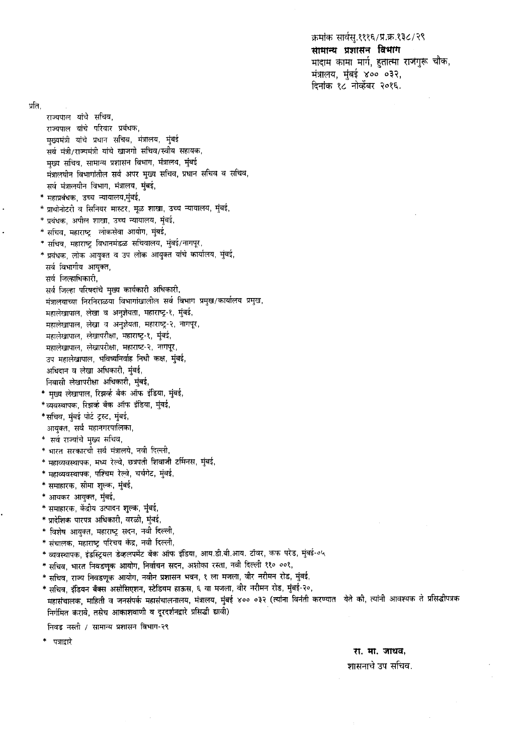क्रमांक सार्वस् १११६/प्र.क्र.१३८/२९ सामान्य प्रशासन विभाग मादाम कामा मार्ग, हुतात्मा राजगुरू चौक, मंत्रालय, मुंबई ४०० ०३२, दिनांक १८ नोव्हेंबर २०१६.

प्रति.

राज्यपाल यांचे सचिव, राज्यपाल यांचे परिवार प्रबंधक, मुख्यमंत्री यांचे प्रधान सचिव, मंत्रालय, मुंबई सर्व मंत्री/राज्यमंत्री यांचे खाजगो सचिव/स्वीय सहायक, मुख्य सचिव, सामान्य प्रशासन विभाग, मंत्रालय, मुंबई मंत्रालयीन विभागांतील सर्व अपर मुख्य सचिव, प्रधान सचिव व सचिव, सर्व मंत्रालयीन विभाग, मंत्रालय, मुंबई, \* महाप्रबंधक, उच्च न्यायालय,मुंबई, \* प्राथोनोटरी व सिनियर मास्टर, मूळ शाखा, उच्च न्यायालय, मुंबई, \* प्रबंधक, अपील शाखा, उच्च न्यायालय, मुंबई, \* सचिव, महाराष्ट्र लोकसेवा आयोग, मुंबई, \* सचिव, महाराष्ट्र विधानमंडळ सचिवालय, मुंबई/नागपूर, \* प्रबंधक, लोक आयुक्त व उप लोक आयुक्त यांचे कार्यालय, मुंबई, सर्व विभागीय आयुक्त, सर्व जिल्हाधिकारी, सर्व जिल्हा परिषदांचे मुख्य कार्यकारी अधिकारी, मंत्रालयाच्या निरनिराळया विभागांखालील सर्व विभाग प्रमुख/कार्यालय प्रमुख, महालेखापाल, लेखा व अनुज्ञेयता, महाराष्ट्र-१, मुंबई, महालेखापाल, लेखा व अनुज्ञेयता, महाराष्ट्र-२, नागपूर, महालेखापाल, लेखापरीक्षा, महाराष्ट्र-१, मुंबई, महालेखापाल, लेखापरीक्षा, महाराष्ट-२, नागपूर उप महालेखापाल, भविष्यनिर्वाह निधी कक्ष, मुंबई, अधिदान व लेखा अधिकारी, मुंबई, निवासी लेखापरीक्षा अधिकारी, मुंबई, \* मुख्य लेखापाल, रिझर्व्ह बँक ऑफ इंडिया, मुंबई, \*व्यवस्थापक, रिझर्व्ह बँक ऑफ इंडिया, मुंबई, \*सचिव, मुंबई पोर्ट ट्रस्ट, मुंबई, आयुक्त, सर्व महानगरपालिका, \* सर्व राज्यांचे मुख्य सचिव, \* भारत सरकारची सर्व मंत्रालये, नवी दिल्ली, \* महाव्यवस्थापक, मध्य रेल्वे, छत्रपती शिवाजी टर्मिनस, मुंबई, \* महाव्यवस्थापक, पश्चिम रेल्वे, चर्चगेट, मुंबई, \* समाहारक, सीमा शुल्क, मुंबई, \* आयकर आयुक्त, मुंबई, \* समाहारक, केंद्रीय उत्पादन शुल्क, मुंबई, \* प्रादेशिक पारपत्र अधिकारी, वरळी, मुंबई, \* विशेष आयुक्त, महाराष्ट्र सदन, नवी दिल्ली, \* संचालक, महाराष्ट्र परिचय केंद्र, नवी दिल्ली, \* व्यवस्थापक, इंडस्ट्रियल डेव्हलपमेंट बँक ऑफ इंडिया, आय.डी.बी.आय. टॉवर, कफ परेड, मुंबई-०५ \* सचिव, भारत निवडणूक आयोग, निर्वाचन सदन, अशोका रस्ता, नवी दिल्ली ११० ००१, \* सचिव, राज्य निवडणूक आयोग, नवीन प्रशासन भवन, १ ला मजला, वीर नरीमन रोड, मुंबई, \* सचिव, इंडियन बँक्स असोसिएशन, स्टेडियम हाऊस, ६ वा मजला, वीर नरीमन रोड, मुंबई-२०, महासंचालक, माहिती व जनसंपर्क महासंचालनालय, मंत्रालय, मुंबई ४०० ०३२ (त्यांना विनंती करण्यात) येते की, त्यांनी आवश्यक ते प्रसिद्धीपत्रक

निवड नस्ती / सामान्य प्रशासन विभाग-२९

निर्गमित करावे, तसेच आकाशवाणी व दूरदर्शनद्वारे प्रसिद्धी द्यावी)

पत्राद्वारे

#### रा. मा. जाधव,

#### शासनाचे उप सचिव.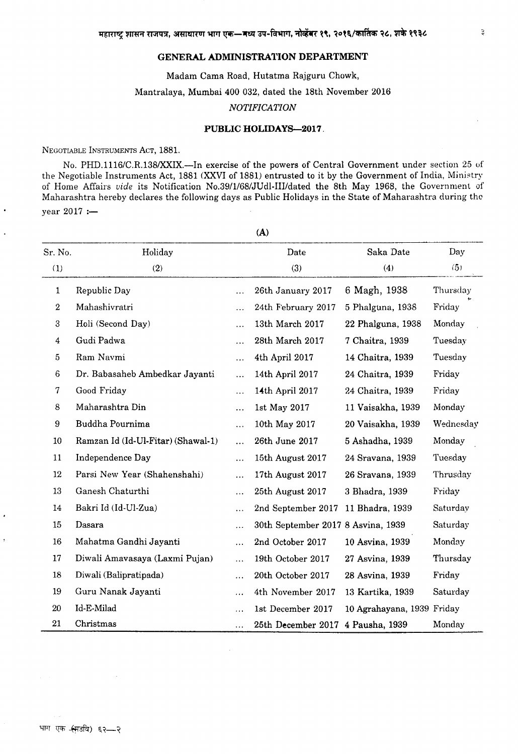#### **GENERAL ADMINISTRATION DEPARTMENT**

Madam Cama Road, Hutatma Rajguru Chowk, Mantralaya, Mumbai 400 032, dated the lSth November 2016

#### *NOTIFICATION*

#### **PUBLIC HOLIDAYS-2017.**

NEGOTIABLE INSTRUMENTS ACT, 1881.

No. PHD.1l16/C.R.13S/xxIX.-In exercise of the powers of Central Government under section 25 of the Negotiable Instruments Act, lSSl (XXVI of 18S1) entrusted to it by the Government of India, Ministry of Home Affairs *vide* its Notification No.39/1/68/JUdl-IIIIdated the Sth May 1968, the Government of Maharashtra hereby declares the following days as Public Holidays in the State of Maharashtra during the year  $2017 :=$ 

Sr. No. Holiday Date Saka Date Day (1)  $(2)$   $(3)$   $(4)$   $(5)$  $(5)$  Republic Day 26th January 2017 6 Magh, 1938 Thursday .. Mahashivratri 24th February 2017 5 Phalguna, 1938 Friday Holi (Second Day) 13th March 2017 22 Phalguna, 1938 Monday GudiPadwa 28th March 2017 7 Chaitra, 1939 Tuesday Ram Navmi 4th April 2017 14 Chaitra, 1939 Tuesday Dr. Babasaheb Ambedkar Jayanti 14th April 2017 24 Chaitra, 1939 Friday Good Friday **14th** April 2017 24 Chaitra, 1939 Friday 8 Maharashtra Din 1st May 2017 11 Vaisakha, 1939 Monday Buddha Pournima 10th May 2017 20 Vaisakha, 1939 Wednesday Ramzan Id (Id-Ul-Fitar) (Shawal-L) 26th June 2017 5 Ashadha, 1939 Monday Independence Day 15th August 2017 24 Sravana, 1939 Tuesday Parsi New Year (Shahenshahi) 17th August 2017 26 Sravana, 1939 Thrusday Ganesh Chaturthi 25th August 2017 3 Bhadra, 1939 Friday Bakri Id (ld-Ul-Zua) 2nd September 2017 11 Bhadra, 1939 Saturday Dasara 30th September 2017 S Asvina, 1939 Saturday Mahatma Gandhi Jayanti 2nd October 2017 10 Asvina, 1939 Monday Diwali Amavasaya (Laxmi Pujan) 19th October 2017 27 Asvina, 1939 Thursday Diwali (Balipratipada) 20th October 2017 28 Asvina, 1939 Friday Guru Nanak Jayanti 4th November 2017 13 Kartika, 1939 Saturday Id-E-Milad 1st December 2017 10 Agrahayana, 1939 Friday Christmas 25th December 2017 4 Pausha, 1939 Monday

(A)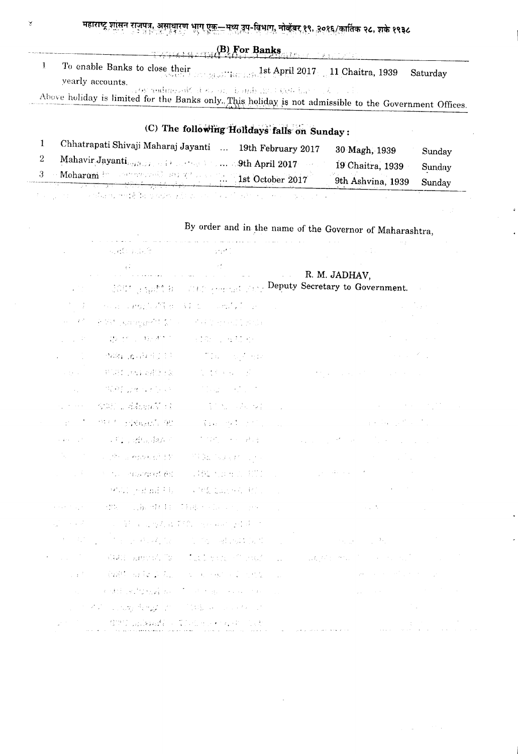महाराष्ट्र शासन राजपत्र, असायारण भाग एक—मध्य उप-विभाग, नोव्हेंबर १९, <u>२०१६/कार्तिक २८, शके</u> १९३८<br>प्रदेशिया

|                                                                                            | $(B)$ For Banks                                                                                        |
|--------------------------------------------------------------------------------------------|--------------------------------------------------------------------------------------------------------|
| To enable Banks to close their<br>second and the second is 1st April 2017 11 Chaitra, 1939 | Saturday                                                                                               |
| yearly accounts.                                                                           | sa ON and messaid of our one derivate and decay but the defect of the second                           |
|                                                                                            | Above holiday is limited for the Banks only. This holiday is not admissible to the Government Offices. |

|                                     | (C) The following Holidays falls on Sunday: |                 |  |
|-------------------------------------|---------------------------------------------|-----------------|--|
| Chhatrapati Shivaji Maharaj Javanti | $10th$ February 0017                        | $0.028 \pm 1.2$ |  |

| <b>The Contract of the Constantine Constantine Constantine Constantine Constantine Constantine Constantine Constantine Constantine Constantine Constantine Constantine Constantine Constantine Constantine Constantine Constanti</b>    |                    | 9th Ashvina, 1939 | Sunday |
|-----------------------------------------------------------------------------------------------------------------------------------------------------------------------------------------------------------------------------------------|--------------------|-------------------|--------|
| Mahavir Jayanti $_{\rm{cutoff}}$ , and the state of the set $\sim$ 40 April 2017 and the state of the state of the state of the state of the state of the state of the state of the state of the state of the state of the state of the |                    | 19 Chaitra, 1939  | Sunday |
| Umatrapati Shiyaji Maharaj Javanti                                                                                                                                                                                                      | 19th February 2017 | 30 Magh, 1939     | Sunday |

a da a garra a canadeiro metroloxía de la palacea de la canada de la palacea a canada de la canada de

¥

|                                                               | stado político                                                                                                                                                                                                                                                                                                                                                                                                                                                                                                                                                                                         | $\sim 10^{10}$ .                                                                                                                                                             |                |                                                                            |
|---------------------------------------------------------------|--------------------------------------------------------------------------------------------------------------------------------------------------------------------------------------------------------------------------------------------------------------------------------------------------------------------------------------------------------------------------------------------------------------------------------------------------------------------------------------------------------------------------------------------------------------------------------------------------------|------------------------------------------------------------------------------------------------------------------------------------------------------------------------------|----------------|----------------------------------------------------------------------------|
|                                                               | $\begin{array}{c} \mathcal{O}(\mathcal{E}) \rightarrow \mathcal{O}(\mathcal{E}) \rightarrow \mathcal{O}(\mathcal{E}) \rightarrow \mathcal{O}(\mathcal{E}) \rightarrow \mathcal{O}(\mathcal{E}) \rightarrow \mathcal{O}(\mathcal{E}) \rightarrow \mathcal{O}(\mathcal{E}) \rightarrow \mathcal{O}(\mathcal{E}) \rightarrow \mathcal{O}(\mathcal{E}) \rightarrow \mathcal{O}(\mathcal{E}) \rightarrow \mathcal{O}(\mathcal{E}) \rightarrow \mathcal{O}(\mathcal{E}) \rightarrow \mathcal{O}(\mathcal{E}) \rightarrow \mathcal{O}(\mathcal{E}) \rightarrow \mathcal{O}(\mathcal{E}) \rightarrow \mathcal$ |                                                                                                                                                                              |                | R. M. JADHAV.                                                              |
|                                                               | <b>SCOT SPECE</b>                                                                                                                                                                                                                                                                                                                                                                                                                                                                                                                                                                                      | THE PRESENTING                                                                                                                                                               |                | Deputy Secretary to Government.                                            |
| $\mathbb{R}^n \times \mathbb{R}^n$                            | <b>Police Sanger STAR 在 《 14 公司 15 公司 15 公司</b>                                                                                                                                                                                                                                                                                                                                                                                                                                                                                                                                                        |                                                                                                                                                                              |                |                                                                            |
| $\omega_{\rm c} = 4.7$                                        | P. W. Leangarett & Co. C. Ket the energy Right                                                                                                                                                                                                                                                                                                                                                                                                                                                                                                                                                         |                                                                                                                                                                              |                |                                                                            |
| $\frac{1}{2}$ , $\frac{1}{2}$ , $\frac{1}{2}$                 | $\label{eq:R1} \mathcal{L}^{\text{M}}_{\text{M}}\left(\mathcal{F}^{\text{M}}_{\text{M}}\right)=\mathcal{L}^{\text{M}}_{\text{M}}\left(\mathcal{H}^{\text{M}}_{\text{M}}\right)$                                                                                                                                                                                                                                                                                                                                                                                                                        | (人名西克拉克                                                                                                                                                                      |                |                                                                            |
| $\mathcal{L}^{\text{max}}$                                    |                                                                                                                                                                                                                                                                                                                                                                                                                                                                                                                                                                                                        | (整度)通信标准过滤机 (1) The Conference                                                                                                                                               |                |                                                                            |
| a de la                                                       | (新闻)和全部的                                                                                                                                                                                                                                                                                                                                                                                                                                                                                                                                                                                               | (四) 的复数形式 化乙酸                                                                                                                                                                |                |                                                                            |
| $\mathcal{A}^{\mathcal{A}}$                                   | (四边的 ), 在四天的 (5)                                                                                                                                                                                                                                                                                                                                                                                                                                                                                                                                                                                       | $\label{eq:2.1} \mathcal{L}(\mathcal{L}) = \mathcal{L}(\mathcal{L}) \mathcal{L}(\mathcal{L}) = \mathcal{L}(\mathcal{L}) \mathcal{L}(\mathcal{L}) = \mathcal{L}(\mathcal{L})$ |                |                                                                            |
| $\mu_{\rm{max}}=0.01$ , where $\mu$                           | SSRT L AkkenN (1)                                                                                                                                                                                                                                                                                                                                                                                                                                                                                                                                                                                      | (1) 医原子组织 法规程序                                                                                                                                                               |                |                                                                            |
| ang taon na                                                   | <sup>est a</sup> sixesci 90                                                                                                                                                                                                                                                                                                                                                                                                                                                                                                                                                                            | (一) 第142 世纪之前的                                                                                                                                                               |                | $\frac{1}{2}$ , we have the first state of the $\mathcal{O}(\mathbb{R}^2)$ |
| a galan ng Pr                                                 | <b>1001 / 经信用法</b>                                                                                                                                                                                                                                                                                                                                                                                                                                                                                                                                                                                     | 不能的 医心理病                                                                                                                                                                     |                |                                                                            |
| $\mathcal{L}_{\mathcal{A}}$ , and $\mathcal{L}_{\mathcal{A}}$ | 2005年6月22日                                                                                                                                                                                                                                                                                                                                                                                                                                                                                                                                                                                             | <b>STEED SERVICE 200</b>                                                                                                                                                     |                |                                                                            |
| $1 - 1 - 1 = 1$                                               | Some engineering PRO                                                                                                                                                                                                                                                                                                                                                                                                                                                                                                                                                                                   | <b>STANDARD BOY</b>                                                                                                                                                          |                |                                                                            |
|                                                               |                                                                                                                                                                                                                                                                                                                                                                                                                                                                                                                                                                                                        | 「材料」とは最終も、「くびある取り合成し」                                                                                                                                                        |                |                                                                            |
|                                                               |                                                                                                                                                                                                                                                                                                                                                                                                                                                                                                                                                                                                        | 建筑 三层标准相同的现在分词 经可分开                                                                                                                                                          |                | Search C                                                                   |
| $\mathbb{Z}_2^{\times}$ , where $\mathbb{Z}_2^{\times}$       | (1) 以下转向,可以为着深色,可以为此可以注意。                                                                                                                                                                                                                                                                                                                                                                                                                                                                                                                                                                              |                                                                                                                                                                              |                |                                                                            |
| $\mathcal{A}=\mathcal{A}(\mathcal{I})$ .                      | 2. 中国人民政府                                                                                                                                                                                                                                                                                                                                                                                                                                                                                                                                                                                              | (2) 化三氧四氧氧化作                                                                                                                                                                 |                | and the state of the                                                       |
| $\sim 10^{10}$ m $^{-1}$                                      | VARY Express To                                                                                                                                                                                                                                                                                                                                                                                                                                                                                                                                                                                        | $\mathcal{L}^{\mathcal{L}}$ , where $\mathcal{L}^{\mathcal{L}}$ and $\mathcal{L}^{\mathcal{L}}$ are $\mathcal{L}^{\mathcal{L}}$ . In the set of $\mathcal{L}^{\mathcal{L}}$  | $\mathbb{R}^2$ | THE APROVACE TO SERVE THE TABLE                                            |
| $\sim$ $\sim$                                                 |                                                                                                                                                                                                                                                                                                                                                                                                                                                                                                                                                                                                        | 金融 海绵之后, 一定一般, 一定是                                                                                                                                                           |                |                                                                            |
| $\mathcal{L}_{\rm eff}$                                       |                                                                                                                                                                                                                                                                                                                                                                                                                                                                                                                                                                                                        | 经通过的过去式和过去分词 医无线性 医耳状动脉                                                                                                                                                      |                |                                                                            |
|                                                               | and the state of the state of the state of the state of the state of the state of the state of the state of the                                                                                                                                                                                                                                                                                                                                                                                                                                                                                        |                                                                                                                                                                              |                |                                                                            |
|                                                               | $\mathbb{C}^{n+1}$ and $\mathbb{C}^{n+1}$ . The set of $\mathbb{C}^{n+1}$ and $\mathbb{C}^{n+1}$ and $\mathbb{C}^{n+1}$                                                                                                                                                                                                                                                                                                                                                                                                                                                                                |                                                                                                                                                                              |                |                                                                            |

 $\sim$ 

 $\sim$   $\sim$ 

 $\bar{\beta}$ 

 $\bar{\mathbf{a}}$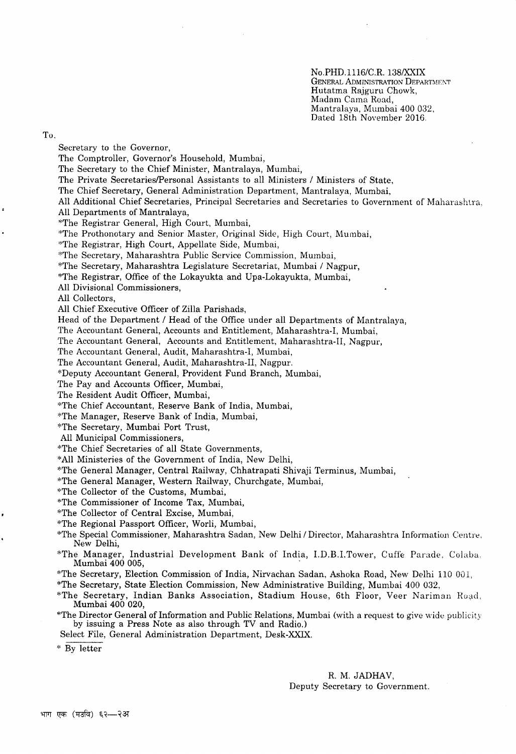No.PHD.1116/C.R.138/XXIX GENERAL ADMINISTRATION DEPARTMENT Hutatma Rajguru Chowk, Madam Cama Road, Mantralaya, Mumbai 400 032, Dated 18th November 2016.

To,

Secretary to the Governor, The Comptroller, Governor's Household, Mumbai, The Secretary to the Chief Minister, Mantralaya, Mumbai, The Private SecretarieslPersonal Assistants to all Ministers / Ministers of State, The Chief Secretary, General Administration Department, Mantralaya, Mumbai, All Additional Chief Secretaries, Principal Secretaries and Secretaries to Government of Maharashtra, All Departments of Mantralaya, \*The Registrar General, High Court, Mumbai, \*The Prothonotary and Senior Master, Original Side, High Court, Murnbai, \*The Registrar, High Court, Appellate Side, Mumbai, "The Secretary, Maharashtra Public Service Commission, Mumbai, \*The Secretary, Maharashtra Legislature Secretariat, Mumbai / Nagpur, \*The Registrar, Office of the Lokayukta and Upa-Lokayukta, Mumbai, All Divisional Commissioners, All Collectors, All Chief Executive Officer of Zilla Parishads, Head of the Department / Head of the Office under all Departments of Mantralaya, The Accountant General, Accounts and Entitlement, Maharashtra-I, Mumbai, The Accountant General, Accounts and Entitlement, Maharashtra-II, Nagpur, The Accountant General, Audit, Maharashtra-I, Mumbai, The Accountant General, Audit, Maharashtra-II, Nagpur. \*Deputy Accountant General, Provident Fund Branch, Mumbai, The Pay and Accounts Officer, Mumbai, The Resident Audit Officer, Mumbai, \*The Chief Accountant, Reserve Bank of India, Mumbai, \*The Manager, Reserve Bank of India, Mumbai, \*The Secretary, Mumbai Port Trust, All Municipal Commissioners, \*The Chief Secretaries of all State Governments, \*All Ministeries of the Government of India, New Delhi, \*The General Manager, Central Railway, Chhatrapati Shivaji Terminus, Mumbai, \*The General Manager, Western Railway, Churchgate, Mumbai, \*The Collector of the Customs, Mumbai, \*The Commissioner of Income Tax, Mumbai, \*The Collector of Central Excise, Mumbai, \*The Regional Passport Officer, Worli, Mumbai, \*The Special Commissioner, Maharashtra Sadan, New Delhi / Director, Maharashtra Information Centre. New Delhi, \*The Manager, Industrial Development Bank of India, I.D.B.I.Tower, Cuffe Parade, Colaba, Mumbai 400 005, \*The Secretary, Election Commission of India, Nirvachan Sadan, Ashoka Road, New Delhi l10 001, \*The Secretary, State Election Commission, New Administrative Building, Mumbai 400 032, \*The Secretary, Indian Banks Association, Stadium House, 6th Floor, Veer Nariman Road, Mumbai 400 020, \*The Director General of Information and Public Relations, Mumbai (with a request to give wide publicity by issuing a Press Note as also through TV and Radio.) Select File, General Administration Department, Desk-XXIX. \* By letter

> R. M. JADHAV, Deputy Secretary to Government.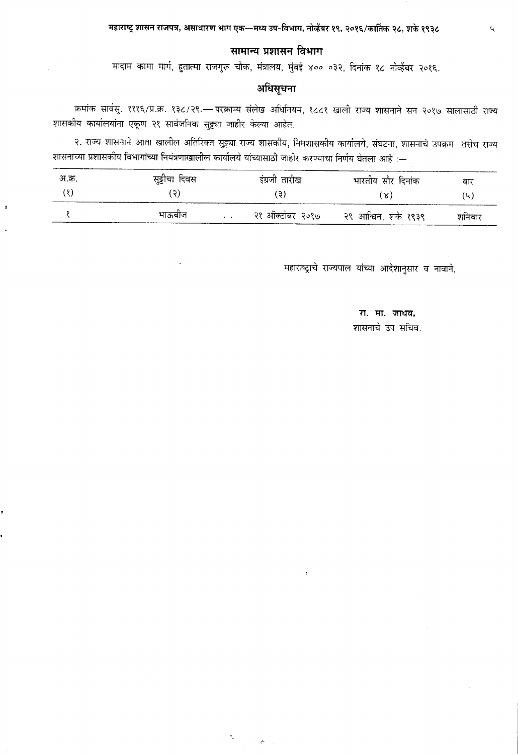## सामान्य प्रशासन विभाग

मादाम कामा मार्ग, हुतात्मा राजगुरू चौक, मंत्रालय, मुंबई ४०० ०३२, दिनांक १८ नोव्हेंबर २०१६.

## अधिसूचना

क्रमांक सार्वसु. १११६/प्र.क्र. १३८/२९.— परक्राम्य संलेख अधिनियम, १८८१ खाली राज्य शासनाने सन २०१७ सालासाठी राज्य शासकीय कार्यालयांना एकूण २१ सार्वजनिक सुट्ट्या जाहीर केल्या आहेत.

२. राज्य शासनाने आता खालील अतिरिक्त सुट्ट्या राज्य शासकीय, निमशासकीय कार्यालये, संघटना, शासनाचे उपक्रम) तसेच राज्य शासनाच्या प्रशासकीय विभागांच्या नियंत्रणाखालील कार्यालये यांच्यासाठी जाहीर करण्याचा निर्णय घेतला आहे :—

| अ.क्र. | सुट्टीचा दिवस | इंग्रजी तारीख | भारतीय सौर दिनांक                     | वार    |
|--------|---------------|---------------|---------------------------------------|--------|
| (8)    | 15)           | ( ဒ)          | ( X )                                 | (५)    |
|        | भाऊबोज        |               | २१ ऑक्टोबर २०१७ - २९ आश्विन, शके १९३९ | शनिवार |

 $\ddot{\phantom{a}}$ 

 $\mathcal{P}^{\mathbb{R}}$ 

 $\ddot{\phantom{a}}$ 

महाराष्ट्राचे राज्यपाल यांच्या आदेशानुसार व नावाने,

## रा. मा. जाधव, शासनाचे उप सचिव.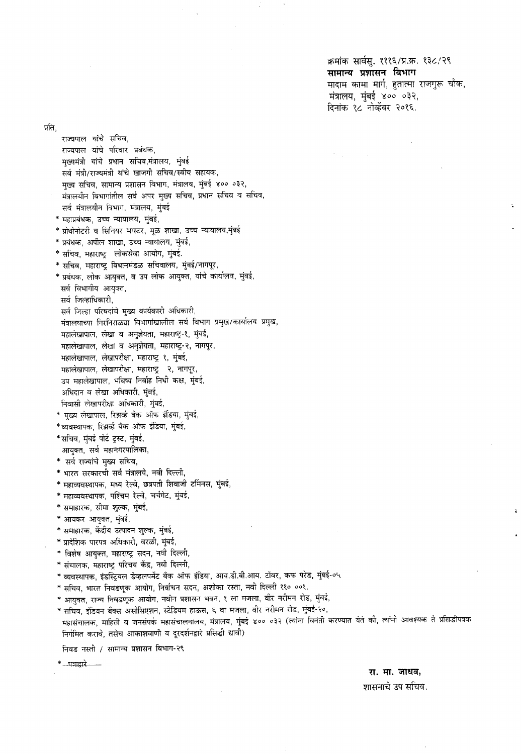क्रमांक सार्वसु. १११६/प्र.क्र. १३८/२९ सामान्य प्रशासन विभाग मादाम कामा मार्ग, हुतात्मा राजगुरू चौक,  $\overline{r}$ मंत्रालय, मुंबई ४०० ०३२, दिनांक १८ नोव्हेंबर २०१६.

र्प्रांत,

राज्यपाल यांचे सचिव, राज्यपाल यांचे परिवार प्रबंधक, मुख्यमंत्री यांचे प्रधान सचिव,मंत्रालय, मुंबई सर्व मंत्री/राज्यमंत्री यांचे खाजगी सचिव/स्वीय सहायक, मुख्य सचिव, सामान्य प्रशासन विभाग, मंत्रालय, मुंबई ४०० ०३२, मंत्रालयीन विभागांतील सर्व अपर मुख्य सचिव, प्रधान सचिव व सचिव, सर्व मंत्रालयीन विभाग, मंत्रालय, मुंबई \* महाप्रबंधक, उच्च न्यायालय, मुंबई \* प्रोथोनोटरी व सिनियर मास्टर, मूळ शाखा, उच्च न्यायालय,मुंबई  $^*$  प्रबंधक, अपील शाखा, उच्च न्यायालय, मुंबई, \* सचिव, महाराष्ट्र लोकसेवा आयोग, मुंबई. \* सचिव, महाराष्ट्र विधानमंडळ सचिवालय, मुंबई/नागपूर, \* प्रबंधक, लोक आयुक्त, व उप लोक आयुक्त, यांचे कार्यालय, मुंबई, सर्व विभागीय आयुक्त, सर्व जिल्हाधिकारी, सर्व जिल्हा परिषदांचे मुख्य कार्यकारी अधिकारी, मंत्रालयाच्या निरनिराळ्या विभागांखालील सर्व विभाग प्रमुख/कार्यालय प्रमुख, महालंखापाल, लेखा व अनुज्ञेयता, महाराष्ट्र-१, मुंबई, महालेखापाल, लेखा व अनुज्ञेयता, महाराष्ट्र-२, नागपूर, महालेखापाल, लेखापरीक्षा, महाराष्ट्र १, मुंबई, महालेखापाल, लेखापरीक्षा, महाराष्ट्र - २, नागपूर, उप महालेखापाल, भविष्य निर्वाह निधी कक्ष, मुंबई, अधिदान व लेखा अधिकारी, मुंबई, निवासी लेखापरीक्षा अधिकारी, मुंबई, \* मुख्य लेखापाल, रिझर्व्ह बँक ऑफ इंडिया, मुंबई, \*व्यवस्थापक, रिझर्व्ह बँक ऑफ इंडिया, मुंबई, \*सचिव, मुंबई पोर्ट ट्रस्ट, मुंबई, आयुक्त, सर्व महानगरपालिका, \* सर्व राज्यांचे मुख्य सचिव, \* भारत सरकारची सर्व मंत्रालये, नवी दिल्ली, \* महाव्यवस्थापक, मध्य रेल्वे, छत्रपती शिवाजी टर्मिनस, मुंबई, \* महाव्यवस्थापक, पश्चिम रेल्वे, चर्चगेट, मुंबई, \* समाहारक, सीमा शुल्क, मुंबई, \* आयकर आयुक्त, मुंबई, \* समाहारक, केंद्रीय उत्पादन शुल्क, मुंबई, \* प्रादेशिक पारपत्र अधिकारी, वरळी, मुंबई, \* विशेष आयुक्त, महाराष्ट्र सदन, नवी दिल्ली, \* संचालक, महाराष्ट्र परिचय केंद्र, नवी दिल्ली, \* व्यवस्थापक, इंडस्ट्रियल डेव्हलपमेंट बँक ऑफ इंडिया, आय.डी.बी.आय. टॉवर, कफ परेड, मुंबई-०५ \* सचिव, भारत निवडणूक आयोग, निर्वाचन सदन, अशोका रस्ता, नवी दिल्ली ११० ००१, \* आयुक्त, राज्य निवडणूक आयोग, नवीन प्रशासन भवन, १ ला मजला, वीर नरीमन रोड, मुंबई, \* सचिव, इंडियन बँक्स असोसिएशन, स्टेडियम हाऊस, ६ वा मजला, वीर नरीमन रोड, मुंबई-२०, महासंचालक, माहिती व जनसंपर्क महासंचालनालय, मंत्रालय, मुंबई ४०० ०३२ (त्यांना विनंती करण्यात येते की, त्यांनी आवश्यक ते प्रसिद्धीपत्रक निर्गमित करावे, तसेच आकाशवाणी व दूरदर्शनद्वारे प्रसिद्धी द्यावी) निवड नस्ती / सामान्य प्रशासन विभाग-२९

\* --पत्राद्वारे --

रा. मा. जाधव,

शासनाचे उप सचिव.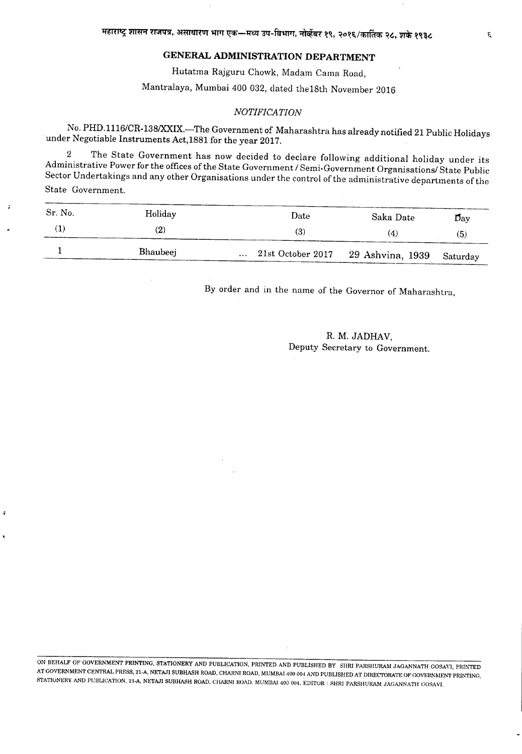### **GENERAL ADMINISTRATION DEPARTMENT**

Hutatma Rajguru Chowk, Madam Cama Road,

Mantralaya, Mumbai 400 032, dated the18th November 2016

#### $NOTIFICATION$

No. PHD. 1116/CR-138/XXIX.-The Government of Maharashtra has already notified 21 Public Holidays under Negotiable Instruments Act,1881 for the year 2017.

2 The State Government has now decided to declare following additional holiday under its Administrative Power for the offices of the State Government / Semi-Government Organisations/ State Public Sector Undertakings and any other Organisations under the control of the administrative departments of the State Government.

| Sr. No. | Holiday  | Date                                        | Saka Date | $\mathbf{D}_{\rm av}$ |
|---------|----------|---------------------------------------------|-----------|-----------------------|
|         | (2)      | (3)                                         | (4)       | (5)                   |
|         | Bhaubeej | 21st October 2017 29 Ashvina, 1939 Saturday |           |                       |

By order and in the name of the Governor of Maharashtra,

R. M. JADHAV, Deputy Secretary to Government.

ON BEHALF OF GOVERNMENT PRINTING, STATIONERY AND PUBLICATION. PRINTED AND PUBLISHED BY SHRI PARSHURAM JAGANNATH GOSAYI, PRINTED AT GOVERNMENT CENTRAL PRESS, 21-A, NETAJI SUBHASH ROAD, CHARNI ROAD, MUMBAI 400 004 AND PUBLISHED AT DrRECTORA'fE OF GOVERNMENT PRINTING, STATIONERY AND PUBLICATION, 21-A, NETAJI SUBHASH ROAD, CHARNI ROAD, MUMBAI 400 004, EDITOR : SHRI PARSHURAM JAGANNATH GOSAVI.

 $\epsilon$